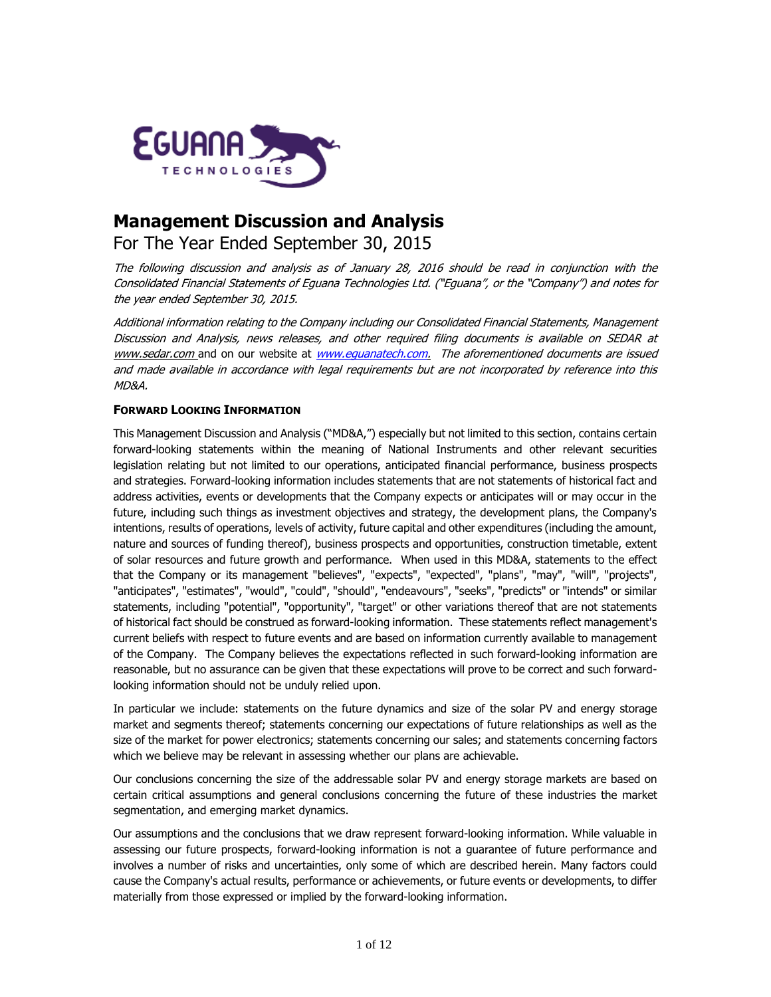

# **Management Discussion and Analysis**

For The Year Ended September 30, 2015

The following discussion and analysis as of January 28, 2016 should be read in conjunction with the Consolidated Financial Statements of Eguana Technologies Ltd. ("Eguana", or the "Company") and notes for the year ended September 30, 2015.

Additional information relating to the Company including our Consolidated Financial Statements, Management Discussion and Analysis, news releases, and other required filing documents is available on SEDAR at [www.sedar.com](http://www.sedar.com/) and on our website at www.equanatech.com. The aforementioned documents are issued and made available in accordance with legal requirements but are not incorporated by reference into this MD&A.

# **FORWARD LOOKING INFORMATION**

This Management Discussion and Analysis ("MD&A,") especially but not limited to this section, contains certain forward-looking statements within the meaning of National Instruments and other relevant securities legislation relating but not limited to our operations, anticipated financial performance, business prospects and strategies. Forward-looking information includes statements that are not statements of historical fact and address activities, events or developments that the Company expects or anticipates will or may occur in the future, including such things as investment objectives and strategy, the development plans, the Company's intentions, results of operations, levels of activity, future capital and other expenditures (including the amount, nature and sources of funding thereof), business prospects and opportunities, construction timetable, extent of solar resources and future growth and performance. When used in this MD&A, statements to the effect that the Company or its management "believes", "expects", "expected", "plans", "may", "will", "projects", "anticipates", "estimates", "would", "could", "should", "endeavours", "seeks", "predicts" or "intends" or similar statements, including "potential", "opportunity", "target" or other variations thereof that are not statements of historical fact should be construed as forward-looking information. These statements reflect management's current beliefs with respect to future events and are based on information currently available to management of the Company. The Company believes the expectations reflected in such forward-looking information are reasonable, but no assurance can be given that these expectations will prove to be correct and such forwardlooking information should not be unduly relied upon.

In particular we include: statements on the future dynamics and size of the solar PV and energy storage market and segments thereof; statements concerning our expectations of future relationships as well as the size of the market for power electronics; statements concerning our sales; and statements concerning factors which we believe may be relevant in assessing whether our plans are achievable.

Our conclusions concerning the size of the addressable solar PV and energy storage markets are based on certain critical assumptions and general conclusions concerning the future of these industries the market segmentation, and emerging market dynamics.

Our assumptions and the conclusions that we draw represent forward-looking information. While valuable in assessing our future prospects, forward-looking information is not a guarantee of future performance and involves a number of risks and uncertainties, only some of which are described herein. Many factors could cause the Company's actual results, performance or achievements, or future events or developments, to differ materially from those expressed or implied by the forward-looking information.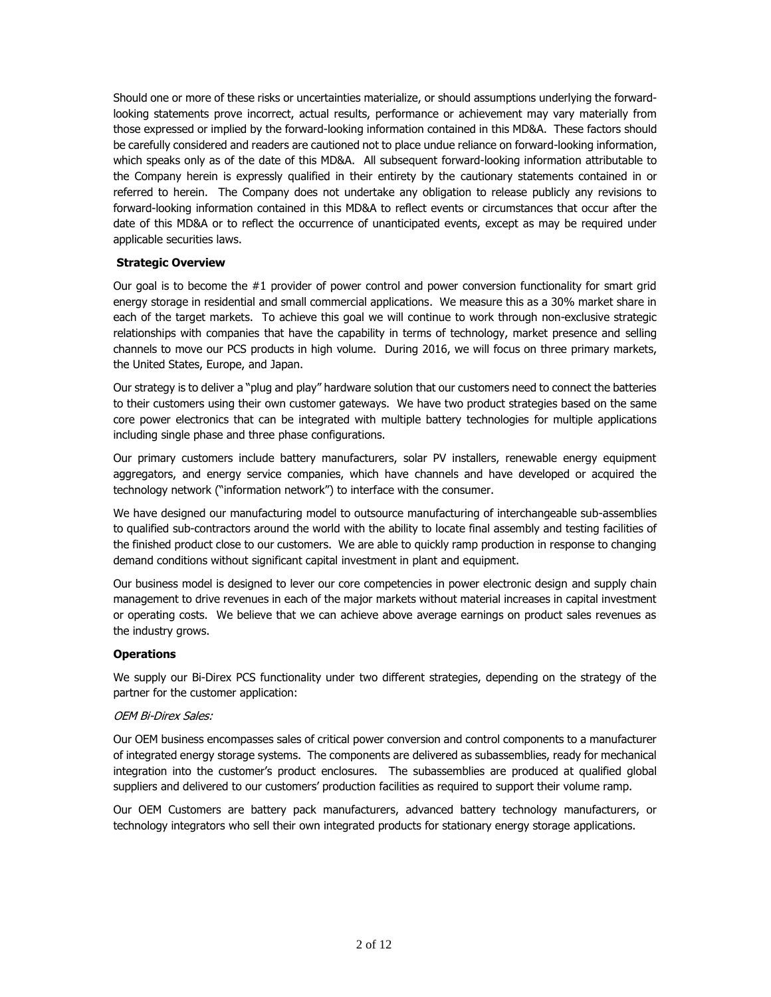Should one or more of these risks or uncertainties materialize, or should assumptions underlying the forwardlooking statements prove incorrect, actual results, performance or achievement may vary materially from those expressed or implied by the forward-looking information contained in this MD&A. These factors should be carefully considered and readers are cautioned not to place undue reliance on forward-looking information, which speaks only as of the date of this MD&A. All subsequent forward-looking information attributable to the Company herein is expressly qualified in their entirety by the cautionary statements contained in or referred to herein. The Company does not undertake any obligation to release publicly any revisions to forward-looking information contained in this MD&A to reflect events or circumstances that occur after the date of this MD&A or to reflect the occurrence of unanticipated events, except as may be required under applicable securities laws.

# **Strategic Overview**

Our goal is to become the  $#1$  provider of power control and power conversion functionality for smart grid energy storage in residential and small commercial applications. We measure this as a 30% market share in each of the target markets. To achieve this goal we will continue to work through non-exclusive strategic relationships with companies that have the capability in terms of technology, market presence and selling channels to move our PCS products in high volume. During 2016, we will focus on three primary markets, the United States, Europe, and Japan.

Our strategy is to deliver a "plug and play" hardware solution that our customers need to connect the batteries to their customers using their own customer gateways. We have two product strategies based on the same core power electronics that can be integrated with multiple battery technologies for multiple applications including single phase and three phase configurations.

Our primary customers include battery manufacturers, solar PV installers, renewable energy equipment aggregators, and energy service companies, which have channels and have developed or acquired the technology network ("information network") to interface with the consumer.

We have designed our manufacturing model to outsource manufacturing of interchangeable sub-assemblies to qualified sub-contractors around the world with the ability to locate final assembly and testing facilities of the finished product close to our customers. We are able to quickly ramp production in response to changing demand conditions without significant capital investment in plant and equipment.

Our business model is designed to lever our core competencies in power electronic design and supply chain management to drive revenues in each of the major markets without material increases in capital investment or operating costs. We believe that we can achieve above average earnings on product sales revenues as the industry grows.

## **Operations**

We supply our Bi-Direx PCS functionality under two different strategies, depending on the strategy of the partner for the customer application:

## OEM Bi-Direx Sales:

Our OEM business encompasses sales of critical power conversion and control components to a manufacturer of integrated energy storage systems. The components are delivered as subassemblies, ready for mechanical integration into the customer's product enclosures. The subassemblies are produced at qualified global suppliers and delivered to our customers' production facilities as required to support their volume ramp.

Our OEM Customers are battery pack manufacturers, advanced battery technology manufacturers, or technology integrators who sell their own integrated products for stationary energy storage applications.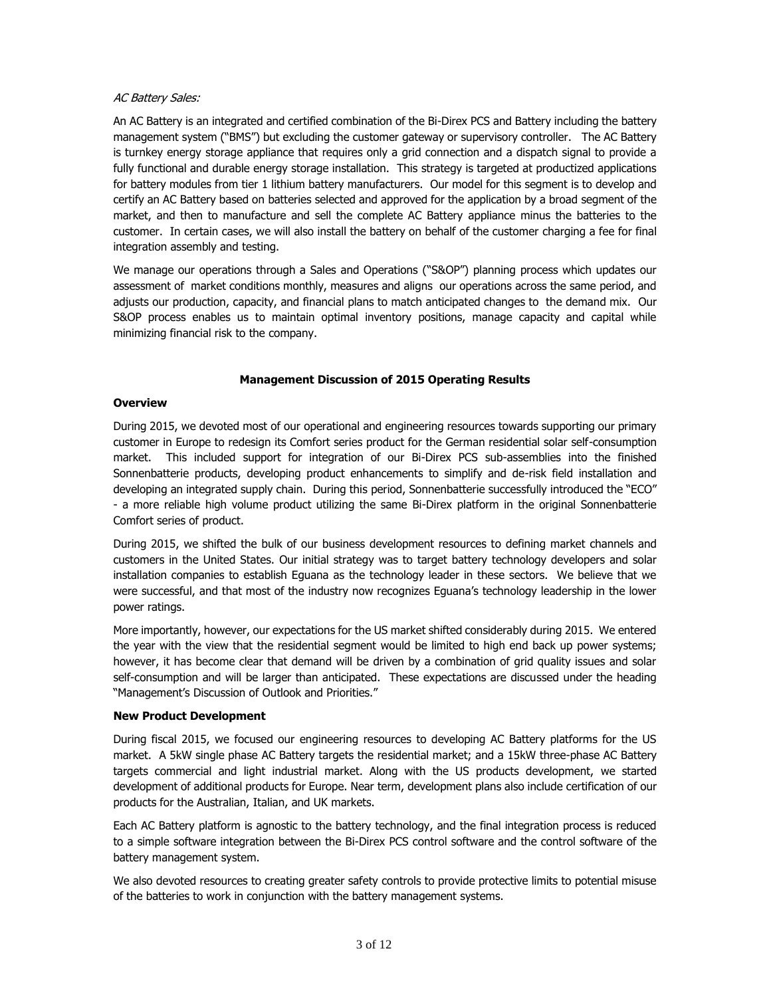#### **AC Battery Sales:**

An AC Battery is an integrated and certified combination of the Bi-Direx PCS and Battery including the battery management system ("BMS") but excluding the customer gateway or supervisory controller. The AC Battery is turnkey energy storage appliance that requires only a grid connection and a dispatch signal to provide a fully functional and durable energy storage installation. This strategy is targeted at productized applications for battery modules from tier 1 lithium battery manufacturers. Our model for this segment is to develop and certify an AC Battery based on batteries selected and approved for the application by a broad segment of the market, and then to manufacture and sell the complete AC Battery appliance minus the batteries to the customer. In certain cases, we will also install the battery on behalf of the customer charging a fee for final integration assembly and testing.

We manage our operations through a Sales and Operations ("S&OP") planning process which updates our assessment of market conditions monthly, measures and aligns our operations across the same period, and adjusts our production, capacity, and financial plans to match anticipated changes to the demand mix. Our S&OP process enables us to maintain optimal inventory positions, manage capacity and capital while minimizing financial risk to the company.

## **Management Discussion of 2015 Operating Results**

#### **Overview**

During 2015, we devoted most of our operational and engineering resources towards supporting our primary customer in Europe to redesign its Comfort series product for the German residential solar self-consumption market. This included support for integration of our Bi-Direx PCS sub-assemblies into the finished Sonnenbatterie products, developing product enhancements to simplify and de-risk field installation and developing an integrated supply chain. During this period, Sonnenbatterie successfully introduced the "ECO" - a more reliable high volume product utilizing the same Bi-Direx platform in the original Sonnenbatterie Comfort series of product.

During 2015, we shifted the bulk of our business development resources to defining market channels and customers in the United States. Our initial strategy was to target battery technology developers and solar installation companies to establish Eguana as the technology leader in these sectors. We believe that we were successful, and that most of the industry now recognizes Eguana's technology leadership in the lower power ratings.

More importantly, however, our expectations for the US market shifted considerably during 2015. We entered the year with the view that the residential segment would be limited to high end back up power systems; however, it has become clear that demand will be driven by a combination of grid quality issues and solar self-consumption and will be larger than anticipated. These expectations are discussed under the heading "Management's Discussion of Outlook and Priorities."

## **New Product Development**

During fiscal 2015, we focused our engineering resources to developing AC Battery platforms for the US market. A 5kW single phase AC Battery targets the residential market; and a 15kW three-phase AC Battery targets commercial and light industrial market. Along with the US products development, we started development of additional products for Europe. Near term, development plans also include certification of our products for the Australian, Italian, and UK markets.

Each AC Battery platform is agnostic to the battery technology, and the final integration process is reduced to a simple software integration between the Bi-Direx PCS control software and the control software of the battery management system.

We also devoted resources to creating greater safety controls to provide protective limits to potential misuse of the batteries to work in conjunction with the battery management systems.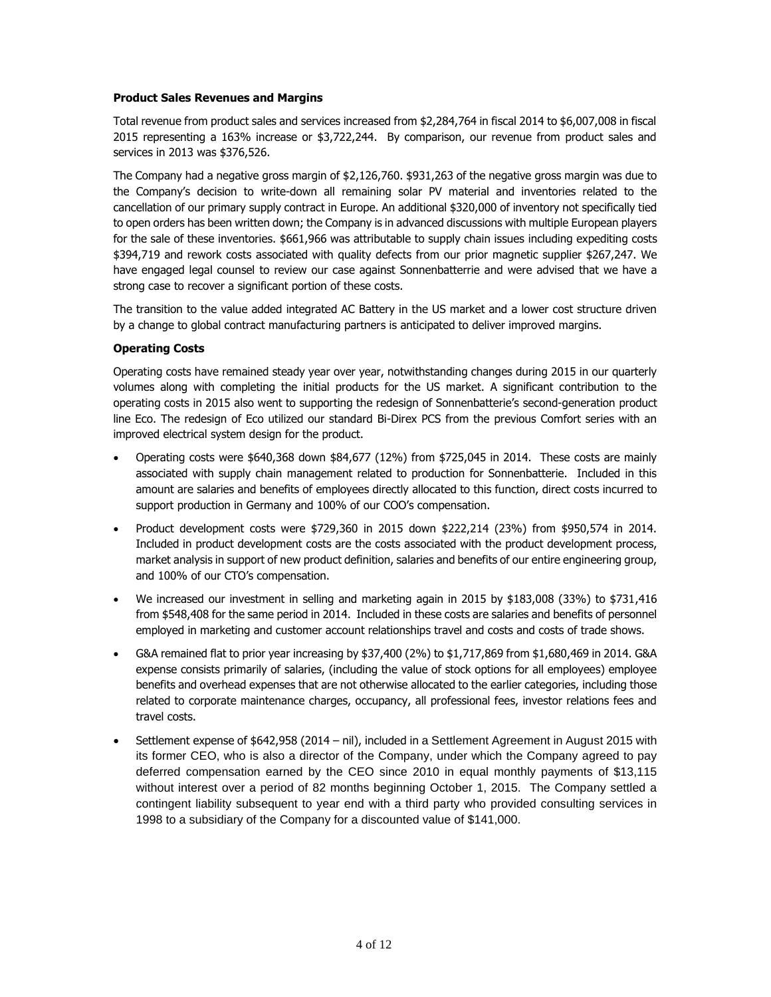#### **Product Sales Revenues and Margins**

Total revenue from product sales and services increased from \$2,284,764 in fiscal 2014 to \$6,007,008 in fiscal 2015 representing a 163% increase or \$3,722,244. By comparison, our revenue from product sales and services in 2013 was \$376,526.

The Company had a negative gross margin of \$2,126,760. \$931,263 of the negative gross margin was due to the Company's decision to write-down all remaining solar PV material and inventories related to the cancellation of our primary supply contract in Europe. An additional \$320,000 of inventory not specifically tied to open orders has been written down; the Company is in advanced discussions with multiple European players for the sale of these inventories. \$661,966 was attributable to supply chain issues including expediting costs \$394,719 and rework costs associated with quality defects from our prior magnetic supplier \$267,247. We have engaged legal counsel to review our case against Sonnenbatterrie and were advised that we have a strong case to recover a significant portion of these costs.

The transition to the value added integrated AC Battery in the US market and a lower cost structure driven by a change to global contract manufacturing partners is anticipated to deliver improved margins.

## **Operating Costs**

Operating costs have remained steady year over year, notwithstanding changes during 2015 in our quarterly volumes along with completing the initial products for the US market. A significant contribution to the operating costs in 2015 also went to supporting the redesign of Sonnenbatterie's second-generation product line Eco. The redesign of Eco utilized our standard Bi-Direx PCS from the previous Comfort series with an improved electrical system design for the product.

- Operating costs were \$640,368 down \$84,677 (12%) from \$725,045 in 2014. These costs are mainly associated with supply chain management related to production for Sonnenbatterie. Included in this amount are salaries and benefits of employees directly allocated to this function, direct costs incurred to support production in Germany and 100% of our COO's compensation.
- Product development costs were \$729,360 in 2015 down \$222,214 (23%) from \$950,574 in 2014. Included in product development costs are the costs associated with the product development process, market analysis in support of new product definition, salaries and benefits of our entire engineering group, and 100% of our CTO's compensation.
- We increased our investment in selling and marketing again in 2015 by \$183,008 (33%) to \$731,416 from \$548,408 for the same period in 2014. Included in these costs are salaries and benefits of personnel employed in marketing and customer account relationships travel and costs and costs of trade shows.
- G&A remained flat to prior year increasing by \$37,400 (2%) to \$1,717,869 from \$1,680,469 in 2014. G&A expense consists primarily of salaries, (including the value of stock options for all employees) employee benefits and overhead expenses that are not otherwise allocated to the earlier categories, including those related to corporate maintenance charges, occupancy, all professional fees, investor relations fees and travel costs.
- Settlement expense of \$642,958 (2014 nil), included in a Settlement Agreement in August 2015 with its former CEO, who is also a director of the Company, under which the Company agreed to pay deferred compensation earned by the CEO since 2010 in equal monthly payments of \$13,115 without interest over a period of 82 months beginning October 1, 2015. The Company settled a contingent liability subsequent to year end with a third party who provided consulting services in 1998 to a subsidiary of the Company for a discounted value of \$141,000.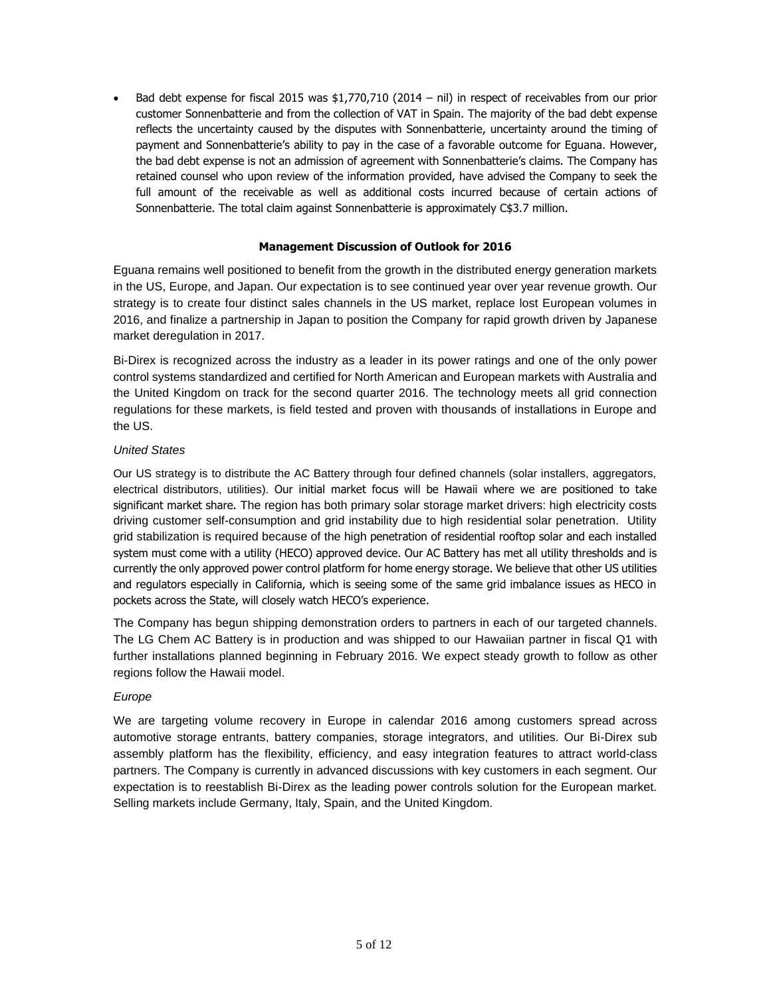• Bad debt expense for fiscal 2015 was \$1,770,710 (2014 - nil) in respect of receivables from our prior customer Sonnenbatterie and from the collection of VAT in Spain. The majority of the bad debt expense reflects the uncertainty caused by the disputes with Sonnenbatterie, uncertainty around the timing of payment and Sonnenbatterie's ability to pay in the case of a favorable outcome for Eguana. However, the bad debt expense is not an admission of agreement with Sonnenbatterie's claims. The Company has retained counsel who upon review of the information provided, have advised the Company to seek the full amount of the receivable as well as additional costs incurred because of certain actions of Sonnenbatterie. The total claim against Sonnenbatterie is approximately C\$3.7 million.

# **Management Discussion of Outlook for 2016**

Eguana remains well positioned to benefit from the growth in the distributed energy generation markets in the US, Europe, and Japan. Our expectation is to see continued year over year revenue growth. Our strategy is to create four distinct sales channels in the US market, replace lost European volumes in 2016, and finalize a partnership in Japan to position the Company for rapid growth driven by Japanese market deregulation in 2017.

Bi-Direx is recognized across the industry as a leader in its power ratings and one of the only power control systems standardized and certified for North American and European markets with Australia and the United Kingdom on track for the second quarter 2016. The technology meets all grid connection regulations for these markets, is field tested and proven with thousands of installations in Europe and the US.

# *United States*

Our US strategy is to distribute the AC Battery through four defined channels (solar installers, aggregators, electrical distributors, utilities). Our initial market focus will be Hawaii where we are positioned to take significant market share. The region has both primary solar storage market drivers: high electricity costs driving customer self-consumption and grid instability due to high residential solar penetration. Utility grid stabilization is required because of the high penetration of residential rooftop solar and each installed system must come with a utility (HECO) approved device. Our AC Battery has met all utility thresholds and is currently the only approved power control platform for home energy storage. We believe that other US utilities and regulators especially in California, which is seeing some of the same grid imbalance issues as HECO in pockets across the State, will closely watch HECO's experience.

The Company has begun shipping demonstration orders to partners in each of our targeted channels. The LG Chem AC Battery is in production and was shipped to our Hawaiian partner in fiscal Q1 with further installations planned beginning in February 2016. We expect steady growth to follow as other regions follow the Hawaii model.

## *Europe*

We are targeting volume recovery in Europe in calendar 2016 among customers spread across automotive storage entrants, battery companies, storage integrators, and utilities. Our Bi-Direx sub assembly platform has the flexibility, efficiency, and easy integration features to attract world-class partners. The Company is currently in advanced discussions with key customers in each segment. Our expectation is to reestablish Bi-Direx as the leading power controls solution for the European market. Selling markets include Germany, Italy, Spain, and the United Kingdom.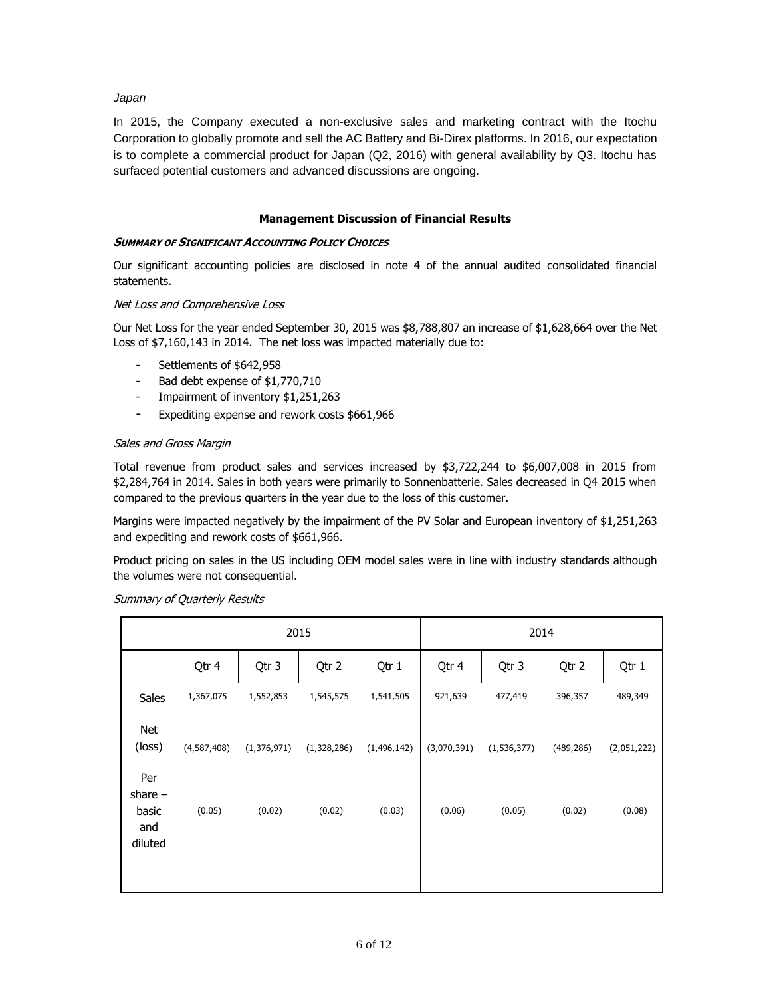### *Japan*

In 2015, the Company executed a non-exclusive sales and marketing contract with the Itochu Corporation to globally promote and sell the AC Battery and Bi-Direx platforms. In 2016, our expectation is to complete a commercial product for Japan (Q2, 2016) with general availability by Q3. Itochu has surfaced potential customers and advanced discussions are ongoing.

## **Management Discussion of Financial Results**

#### **SUMMARY OF SIGNIFICANT ACCOUNTING POLICY CHOICES**

Our significant accounting policies are disclosed in note 4 of the annual audited consolidated financial statements.

#### Net Loss and Comprehensive Loss

Our Net Loss for the year ended September 30, 2015 was \$8,788,807 an increase of \$1,628,664 over the Net Loss of \$7,160,143 in 2014. The net loss was impacted materially due to:

- Settlements of \$642,958
- Bad debt expense of \$1,770,710
- Impairment of inventory \$1,251,263
- Expediting expense and rework costs \$661,966

## Sales and Gross Margin

Total revenue from product sales and services increased by \$3,722,244 to \$6,007,008 in 2015 from \$2,284,764 in 2014. Sales in both years were primarily to Sonnenbatterie. Sales decreased in Q4 2015 when compared to the previous quarters in the year due to the loss of this customer.

Margins were impacted negatively by the impairment of the PV Solar and European inventory of \$1,251,263 and expediting and rework costs of \$661,966.

Product pricing on sales in the US including OEM model sales were in line with industry standards although the volumes were not consequential.

|                                             | 2015        |               |             |               | 2014        |               |            |             |
|---------------------------------------------|-------------|---------------|-------------|---------------|-------------|---------------|------------|-------------|
|                                             | Qtr 4       | Qtr 3         | Qtr 2       | Qtr 1         | Qtr 4       | Qtr 3         | Qtr 2      | Qtr 1       |
| <b>Sales</b>                                | 1,367,075   | 1,552,853     | 1,545,575   | 1,541,505     | 921,639     | 477,419       | 396,357    | 489,349     |
| Net<br>(loss)                               | (4,587,408) | (1, 376, 971) | (1,328,286) | (1, 496, 142) | (3,070,391) | (1, 536, 377) | (489, 286) | (2,051,222) |
| Per<br>share $-$<br>basic<br>and<br>diluted | (0.05)      | (0.02)        | (0.02)      | (0.03)        | (0.06)      | (0.05)        | (0.02)     | (0.08)      |

#### Summary of Quarterly Results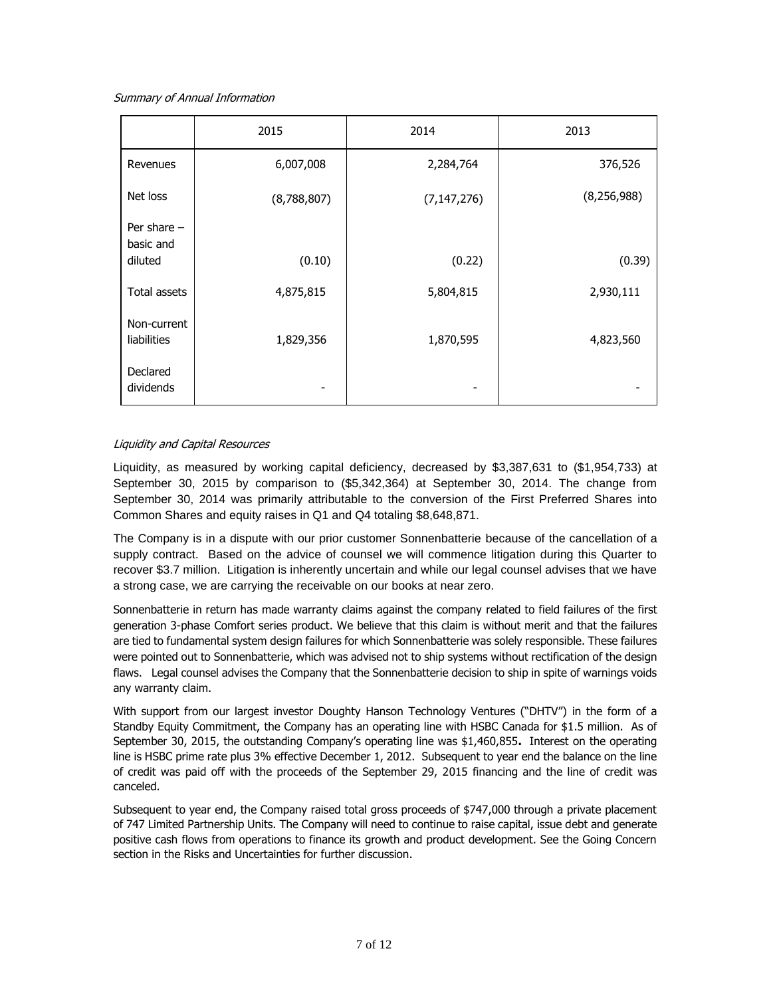Summary of Annual Information

|                                       | 2015        | 2014          | 2013          |  |
|---------------------------------------|-------------|---------------|---------------|--|
| Revenues                              | 6,007,008   | 2,284,764     | 376,526       |  |
| Net loss                              | (8,788,807) | (7, 147, 276) | (8, 256, 988) |  |
| Per share $-$<br>basic and<br>diluted | (0.10)      | (0.22)        | (0.39)        |  |
| Total assets                          | 4,875,815   | 5,804,815     | 2,930,111     |  |
| Non-current<br>liabilities            | 1,829,356   | 1,870,595     | 4,823,560     |  |
| Declared<br>dividends                 | -           |               |               |  |

## Liquidity and Capital Resources

Liquidity, as measured by working capital deficiency, decreased by \$3,387,631 to (\$1,954,733) at September 30, 2015 by comparison to (\$5,342,364) at September 30, 2014. The change from September 30, 2014 was primarily attributable to the conversion of the First Preferred Shares into Common Shares and equity raises in Q1 and Q4 totaling \$8,648,871.

The Company is in a dispute with our prior customer Sonnenbatterie because of the cancellation of a supply contract. Based on the advice of counsel we will commence litigation during this Quarter to recover \$3.7 million. Litigation is inherently uncertain and while our legal counsel advises that we have a strong case, we are carrying the receivable on our books at near zero.

Sonnenbatterie in return has made warranty claims against the company related to field failures of the first generation 3-phase Comfort series product. We believe that this claim is without merit and that the failures are tied to fundamental system design failures for which Sonnenbatterie was solely responsible. These failures were pointed out to Sonnenbatterie, which was advised not to ship systems without rectification of the design flaws. Legal counsel advises the Company that the Sonnenbatterie decision to ship in spite of warnings voids any warranty claim.

With support from our largest investor Doughty Hanson Technology Ventures ("DHTV") in the form of a Standby Equity Commitment, the Company has an operating line with HSBC Canada for \$1.5 million. As of September 30, 2015, the outstanding Company's operating line was \$1,460,855**.** Interest on the operating line is HSBC prime rate plus 3% effective December 1, 2012.Subsequent to year end the balance on the line of credit was paid off with the proceeds of the September 29, 2015 financing and the line of credit was canceled.

Subsequent to year end, the Company raised total gross proceeds of \$747,000 through a private placement of 747 Limited Partnership Units. The Company will need to continue to raise capital, issue debt and generate positive cash flows from operations to finance its growth and product development. See the Going Concern section in the Risks and Uncertainties for further discussion.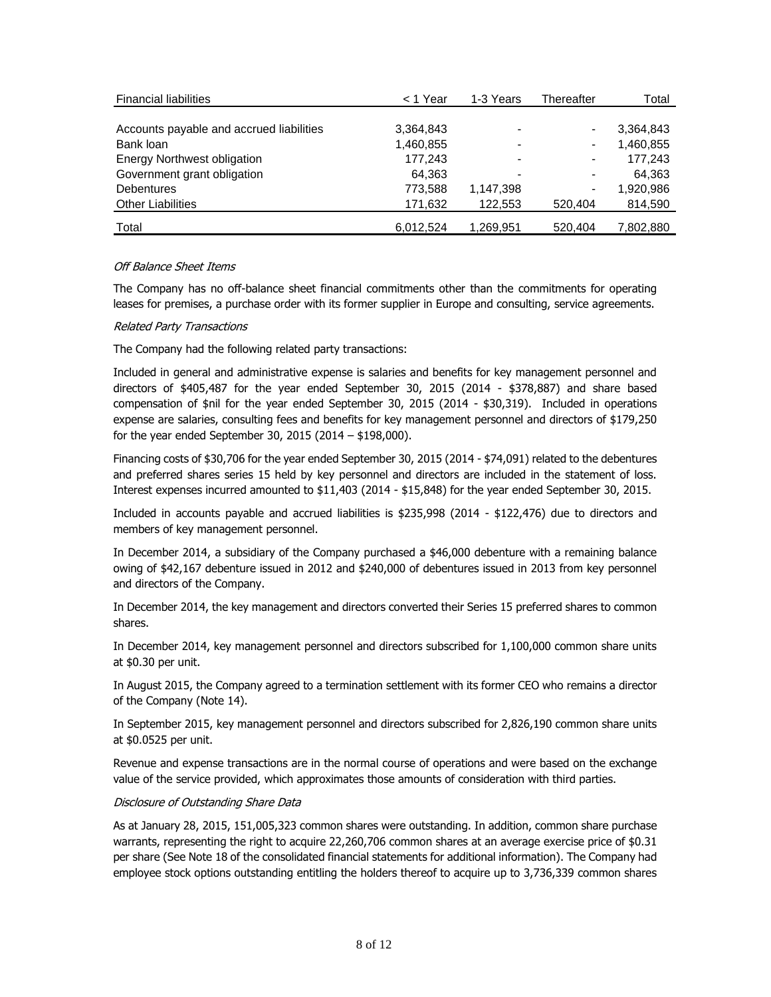| <b>Financial liabilities</b>             | < 1 Year  | 1-3 Years | Thereafter | Total     |
|------------------------------------------|-----------|-----------|------------|-----------|
|                                          |           |           |            |           |
| Accounts payable and accrued liabilities | 3,364,843 |           |            | 3,364,843 |
| Bank loan                                | 1,460,855 |           |            | 1,460,855 |
| <b>Energy Northwest obligation</b>       | 177,243   |           |            | 177.243   |
| Government grant obligation              | 64,363    |           |            | 64,363    |
| <b>Debentures</b>                        | 773,588   | 1,147,398 |            | 1,920,986 |
| <b>Other Liabilities</b>                 | 171,632   | 122.553   | 520.404    | 814,590   |
| Total                                    | 6.012.524 | 1,269,951 | 520.404    | 7,802,880 |

## Off Balance Sheet Items

The Company has no off-balance sheet financial commitments other than the commitments for operating leases for premises, a purchase order with its former supplier in Europe and consulting, service agreements.

#### Related Party Transactions

The Company had the following related party transactions:

Included in general and administrative expense is salaries and benefits for key management personnel and directors of \$405,487 for the year ended September 30, 2015 (2014 - \$378,887) and share based compensation of \$nil for the year ended September 30, 2015 (2014 - \$30,319). Included in operations expense are salaries, consulting fees and benefits for key management personnel and directors of \$179,250 for the year ended September 30, 2015 (2014 – \$198,000).

Financing costs of \$30,706 for the year ended September 30, 2015 (2014 - \$74,091) related to the debentures and preferred shares series 15 held by key personnel and directors are included in the statement of loss. Interest expenses incurred amounted to \$11,403 (2014 - \$15,848) for the year ended September 30, 2015.

Included in accounts payable and accrued liabilities is \$235,998 (2014 - \$122,476) due to directors and members of key management personnel.

In December 2014, a subsidiary of the Company purchased a \$46,000 debenture with a remaining balance owing of \$42,167 debenture issued in 2012 and \$240,000 of debentures issued in 2013 from key personnel and directors of the Company.

In December 2014, the key management and directors converted their Series 15 preferred shares to common shares.

In December 2014, key management personnel and directors subscribed for 1,100,000 common share units at \$0.30 per unit.

In August 2015, the Company agreed to a termination settlement with its former CEO who remains a director of the Company (Note 14).

In September 2015, key management personnel and directors subscribed for 2,826,190 common share units at \$0.0525 per unit.

Revenue and expense transactions are in the normal course of operations and were based on the exchange value of the service provided, which approximates those amounts of consideration with third parties.

# Disclosure of Outstanding Share Data

As at January 28, 2015, 151,005,323 common shares were outstanding. In addition, common share purchase warrants, representing the right to acquire 22,260,706 common shares at an average exercise price of \$0.31 per share (See Note 18 of the consolidated financial statements for additional information). The Company had employee stock options outstanding entitling the holders thereof to acquire up to 3,736,339 common shares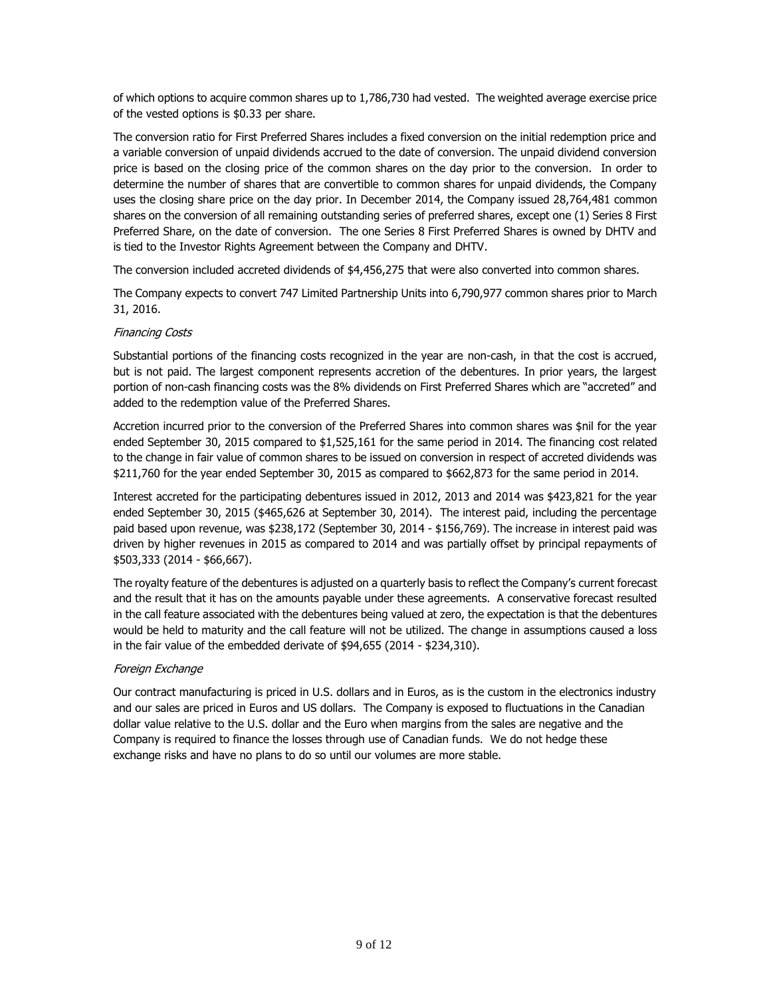of which options to acquire common shares up to 1,786,730 had vested. The weighted average exercise price of the vested options is \$0.33 per share.

The conversion ratio for First Preferred Shares includes a fixed conversion on the initial redemption price and a variable conversion of unpaid dividends accrued to the date of conversion. The unpaid dividend conversion price is based on the closing price of the common shares on the day prior to the conversion. In order to determine the number of shares that are convertible to common shares for unpaid dividends, the Company uses the closing share price on the day prior. In December 2014, the Company issued 28,764,481 common shares on the conversion of all remaining outstanding series of preferred shares, except one (1) Series 8 First Preferred Share, on the date of conversion. The one Series 8 First Preferred Shares is owned by DHTV and is tied to the Investor Rights Agreement between the Company and DHTV.

The conversion included accreted dividends of \$4,456,275 that were also converted into common shares.

The Company expects to convert 747 Limited Partnership Units into 6,790,977 common shares prior to March 31, 2016.

# Financing Costs

Substantial portions of the financing costs recognized in the year are non-cash, in that the cost is accrued, but is not paid. The largest component represents accretion of the debentures. In prior years, the largest portion of non-cash financing costs was the 8% dividends on First Preferred Shares which are "accreted" and added to the redemption value of the Preferred Shares.

Accretion incurred prior to the conversion of the Preferred Shares into common shares was \$nil for the year ended September 30, 2015 compared to \$1,525,161 for the same period in 2014. The financing cost related to the change in fair value of common shares to be issued on conversion in respect of accreted dividends was \$211,760 for the year ended September 30, 2015 as compared to \$662,873 for the same period in 2014.

Interest accreted for the participating debentures issued in 2012, 2013 and 2014 was \$423,821 for the year ended September 30, 2015 (\$465,626 at September 30, 2014). The interest paid, including the percentage paid based upon revenue, was \$238,172 (September 30, 2014 - \$156,769). The increase in interest paid was driven by higher revenues in 2015 as compared to 2014 and was partially offset by principal repayments of \$503,333 (2014 - \$66,667).

The royalty feature of the debentures is adjusted on a quarterly basis to reflect the Company's current forecast and the result that it has on the amounts payable under these agreements. A conservative forecast resulted in the call feature associated with the debentures being valued at zero, the expectation is that the debentures would be held to maturity and the call feature will not be utilized. The change in assumptions caused a loss in the fair value of the embedded derivate of \$94,655 (2014 - \$234,310).

# Foreign Exchange

Our contract manufacturing is priced in U.S. dollars and in Euros, as is the custom in the electronics industry and our sales are priced in Euros and US dollars. The Company is exposed to fluctuations in the Canadian dollar value relative to the U.S. dollar and the Euro when margins from the sales are negative and the Company is required to finance the losses through use of Canadian funds. We do not hedge these exchange risks and have no plans to do so until our volumes are more stable.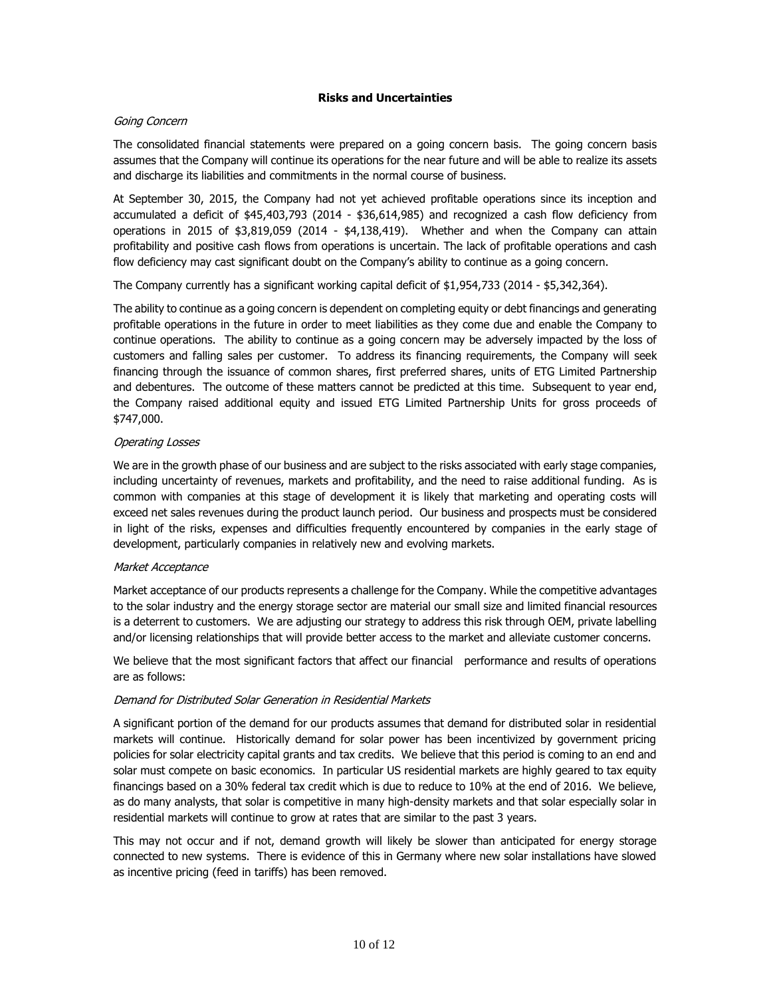#### **Risks and Uncertainties**

#### Going Concern

The consolidated financial statements were prepared on a going concern basis. The going concern basis assumes that the Company will continue its operations for the near future and will be able to realize its assets and discharge its liabilities and commitments in the normal course of business.

At September 30, 2015, the Company had not yet achieved profitable operations since its inception and accumulated a deficit of \$45,403,793 (2014 - \$36,614,985) and recognized a cash flow deficiency from operations in 2015 of \$3,819,059 (2014 - \$4,138,419). Whether and when the Company can attain profitability and positive cash flows from operations is uncertain. The lack of profitable operations and cash flow deficiency may cast significant doubt on the Company's ability to continue as a going concern.

The Company currently has a significant working capital deficit of \$1,954,733 (2014 - \$5,342,364).

The ability to continue as a going concern is dependent on completing equity or debt financings and generating profitable operations in the future in order to meet liabilities as they come due and enable the Company to continue operations. The ability to continue as a going concern may be adversely impacted by the loss of customers and falling sales per customer. To address its financing requirements, the Company will seek financing through the issuance of common shares, first preferred shares, units of ETG Limited Partnership and debentures. The outcome of these matters cannot be predicted at this time. Subsequent to year end, the Company raised additional equity and issued ETG Limited Partnership Units for gross proceeds of \$747,000.

#### Operating Losses

We are in the growth phase of our business and are subject to the risks associated with early stage companies, including uncertainty of revenues, markets and profitability, and the need to raise additional funding. As is common with companies at this stage of development it is likely that marketing and operating costs will exceed net sales revenues during the product launch period. Our business and prospects must be considered in light of the risks, expenses and difficulties frequently encountered by companies in the early stage of development, particularly companies in relatively new and evolving markets.

#### Market Acceptance

Market acceptance of our products represents a challenge for the Company. While the competitive advantages to the solar industry and the energy storage sector are material our small size and limited financial resources is a deterrent to customers. We are adjusting our strategy to address this risk through OEM, private labelling and/or licensing relationships that will provide better access to the market and alleviate customer concerns.

We believe that the most significant factors that affect our financial performance and results of operations are as follows:

#### Demand for Distributed Solar Generation in Residential Markets

A significant portion of the demand for our products assumes that demand for distributed solar in residential markets will continue. Historically demand for solar power has been incentivized by government pricing policies for solar electricity capital grants and tax credits. We believe that this period is coming to an end and solar must compete on basic economics. In particular US residential markets are highly geared to tax equity financings based on a 30% federal tax credit which is due to reduce to 10% at the end of 2016. We believe, as do many analysts, that solar is competitive in many high-density markets and that solar especially solar in residential markets will continue to grow at rates that are similar to the past 3 years.

This may not occur and if not, demand growth will likely be slower than anticipated for energy storage connected to new systems. There is evidence of this in Germany where new solar installations have slowed as incentive pricing (feed in tariffs) has been removed.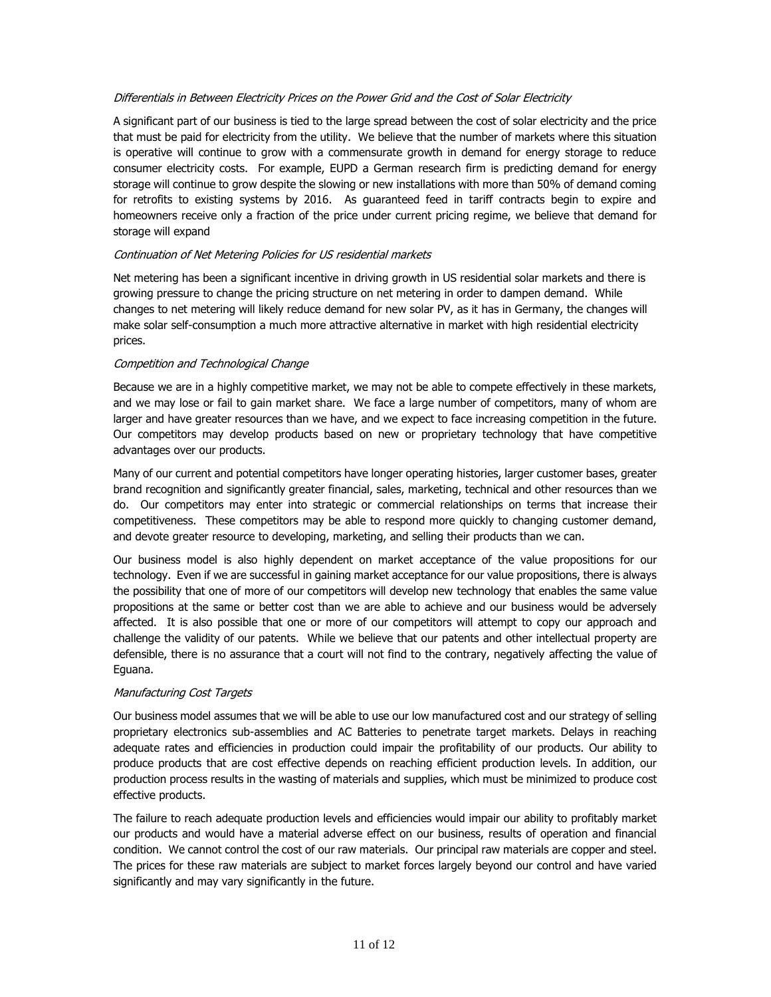## Differentials in Between Electricity Prices on the Power Grid and the Cost of Solar Electricity

A significant part of our business is tied to the large spread between the cost of solar electricity and the price that must be paid for electricity from the utility. We believe that the number of markets where this situation is operative will continue to grow with a commensurate growth in demand for energy storage to reduce consumer electricity costs. For example, EUPD a German research firm is predicting demand for energy storage will continue to grow despite the slowing or new installations with more than 50% of demand coming for retrofits to existing systems by 2016. As guaranteed feed in tariff contracts begin to expire and homeowners receive only a fraction of the price under current pricing regime, we believe that demand for storage will expand

#### Continuation of Net Metering Policies for US residential markets

Net metering has been a significant incentive in driving growth in US residential solar markets and there is growing pressure to change the pricing structure on net metering in order to dampen demand. While changes to net metering will likely reduce demand for new solar PV, as it has in Germany, the changes will make solar self-consumption a much more attractive alternative in market with high residential electricity prices.

#### Competition and Technological Change

Because we are in a highly competitive market, we may not be able to compete effectively in these markets, and we may lose or fail to gain market share. We face a large number of competitors, many of whom are larger and have greater resources than we have, and we expect to face increasing competition in the future. Our competitors may develop products based on new or proprietary technology that have competitive advantages over our products.

Many of our current and potential competitors have longer operating histories, larger customer bases, greater brand recognition and significantly greater financial, sales, marketing, technical and other resources than we do. Our competitors may enter into strategic or commercial relationships on terms that increase their competitiveness. These competitors may be able to respond more quickly to changing customer demand, and devote greater resource to developing, marketing, and selling their products than we can.

Our business model is also highly dependent on market acceptance of the value propositions for our technology. Even if we are successful in gaining market acceptance for our value propositions, there is always the possibility that one of more of our competitors will develop new technology that enables the same value propositions at the same or better cost than we are able to achieve and our business would be adversely affected. It is also possible that one or more of our competitors will attempt to copy our approach and challenge the validity of our patents. While we believe that our patents and other intellectual property are defensible, there is no assurance that a court will not find to the contrary, negatively affecting the value of Eguana.

## Manufacturing Cost Targets

Our business model assumes that we will be able to use our low manufactured cost and our strategy of selling proprietary electronics sub-assemblies and AC Batteries to penetrate target markets. Delays in reaching adequate rates and efficiencies in production could impair the profitability of our products. Our ability to produce products that are cost effective depends on reaching efficient production levels. In addition, our production process results in the wasting of materials and supplies, which must be minimized to produce cost effective products.

The failure to reach adequate production levels and efficiencies would impair our ability to profitably market our products and would have a material adverse effect on our business, results of operation and financial condition. We cannot control the cost of our raw materials. Our principal raw materials are copper and steel. The prices for these raw materials are subject to market forces largely beyond our control and have varied significantly and may vary significantly in the future.